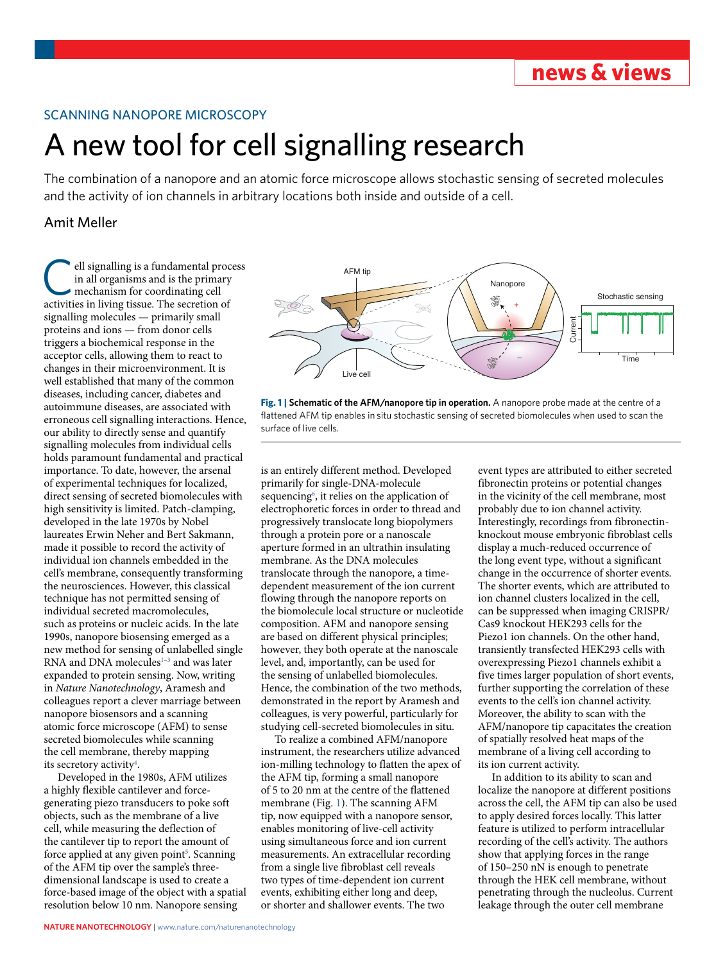## SCANNING NANOPORE MICROSCOPY

# A new tool for cell signalling research

The combination of a nanopore and an atomic force microscope allows stochastic sensing of secreted molecules and the activity of ion channels in arbitrary locations both inside and outside of a cell.

## Amit Meller

ell signalling is a fundamental process in all organisms and is the primary mechanism for coordinating cell activities in living tissue. The secretion of signalling molecules — primarily small proteins and ions — from donor cells triggers a biochemical response in the acceptor cells, allowing them to react to changes in their microenvironment. It is well established that many of the common diseases, including cancer, diabetes and autoimmune diseases, are associated with erroneous cell signalling interactions. Hence, our ability to directly sense and quantify signalling molecules from individual cells holds paramount fundamental and practical importance. To date, however, the arsenal of experimental techniques for localized, direct sensing of secreted biomolecules with high sensitivity is limited. Patch-clamping, developed in the late 1970s by Nobel laureates Erwin Neher and Bert Sakmann, made it possible to record the activity of individual ion channels embedded in the cell's membrane, consequently transforming the neurosciences. However, this classical technique has not permitted sensing of individual secreted macromolecules, such as proteins or nucleic acids. In the late 1990s, nanopore biosensing emerged as a new method for sensing of unlabelled single RNA and DNA molecules $1-3$  $1-3$  and was later expanded to protein sensing. Now, writing in *Nature Nanotechnology*, Aramesh and colleagues report a clever marriage between nanopore biosensors and a scanning atomic force microscope (AFM) to sense secreted biomolecules while scanning the cell membrane, thereby mapping its secretory activity<sup>4</sup>.

Developed in the 1980s, AFM utilizes a highly flexible cantilever and forcegenerating piezo transducers to poke soft objects, such as the membrane of a live cell, while measuring the deflection of the cantilever tip to report the amount of force applied at any given point<sup>5</sup>. Scanning of the AFM tip over the sample's threedimensional landscape is used to create a force-based image of the object with a spatial resolution below 10 nm. Nanopore sensing



<span id="page-0-0"></span>**Fig. 1 | Schematic of the AFM/nanopore tip in operation.** A nanopore probe made at the centre of a flattened AFM tip enables in situ stochastic sensing of secreted biomolecules when used to scan the surface of live cells.

is an entirely different method. Developed primarily for single-DNA-molecule sequencing<sup>6</sup>, it relies on the application of electrophoretic forces in order to thread and progressively translocate long biopolymers through a protein pore or a nanoscale aperture formed in an ultrathin insulating membrane. As the DNA molecules translocate through the nanopore, a timedependent measurement of the ion current flowing through the nanopore reports on the biomolecule local structure or nucleotide composition. AFM and nanopore sensing are based on different physical principles; however, they both operate at the nanoscale level, and, importantly, can be used for the sensing of unlabelled biomolecules. Hence, the combination of the two methods, demonstrated in the report by Aramesh and colleagues, is very powerful, particularly for studying cell-secreted biomolecules in situ.

To realize a combined AFM/nanopore instrument, the researchers utilize advanced ion-milling technology to flatten the apex of the AFM tip, forming a small nanopore of 5 to 20 nm at the centre of the flattened membrane (Fig. [1](#page-0-0)). The scanning AFM tip, now equipped with a nanopore sensor, enables monitoring of live-cell activity using simultaneous force and ion current measurements. An extracellular recording from a single live fibroblast cell reveals two types of time-dependent ion current events, exhibiting either long and deep, or shorter and shallower events. The two

event types are attributed to either secreted fibronectin proteins or potential changes in the vicinity of the cell membrane, most probably due to ion channel activity. Interestingly, recordings from fibronectinknockout mouse embryonic fibroblast cells display a much-reduced occurrence of the long event type, without a significant change in the occurrence of shorter events. The shorter events, which are attributed to ion channel clusters localized in the cell, can be suppressed when imaging CRISPR/ Cas9 knockout HEK293 cells for the Piezo1 ion channels. On the other hand, transiently transfected HEK293 cells with overexpressing Piezo1 channels exhibit a five times larger population of short events, further supporting the correlation of these events to the cell's ion channel activity. Moreover, the ability to scan with the AFM/nanopore tip capacitates the creation of spatially resolved heat maps of the membrane of a living cell according to its ion current activity.

In addition to its ability to scan and localize the nanopore at different positions across the cell, the AFM tip can also be used to apply desired forces locally. This latter feature is utilized to perform intracellular recording of the cell's activity. The authors show that applying forces in the range of 150–250 nN is enough to penetrate through the HEK cell membrane, without penetrating through the nucleolus. Current leakage through the outer cell membrane